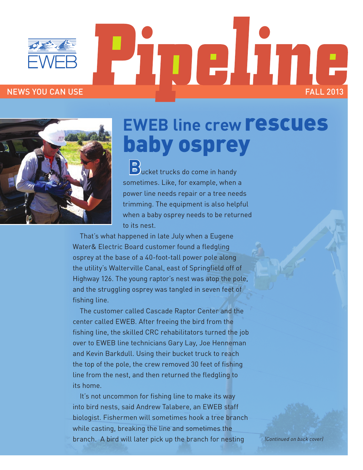

# I DI A NEWS YOU CAN USE FALL 2013



## **EWEB line crew rescues** baby osprey

**B**ucket trucks do come in handy sometimes. Like, for example, when a power line needs repair or a tree needs trimming. The equipment is also helpful when a baby osprey needs to be returned to its nest.

That's what happened in late July when a Eugene Water& Electric Board customer found a fledgling osprey at the base of a 40-foot-tall power pole along the utility's Walterville Canal, east of Springfield off of Highway 126. The young raptor's nest was atop the pole, and the struggling osprey was tangled in seven feet of fishing line.

The customer called Cascade Raptor Center and the center called EWEB. After freeing the bird from the fishing line, the skilled CRC rehabilitators turned the job over to EWEB line technicians Gary Lay, Joe Henneman and Kevin Barkdull. Using their bucket truck to reach the top of the pole, the crew removed 30 feet of fishing line from the nest, and then returned the fledgling to its home.

It's not uncommon for fishing line to make its way into bird nests, said Andrew Talabere, an EWEB staff biologist. Fishermen will sometimes hook a tree branch while casting, breaking the line and sometimes the branch. A bird will later pick up the branch for nesting

*(Continued on back cover)*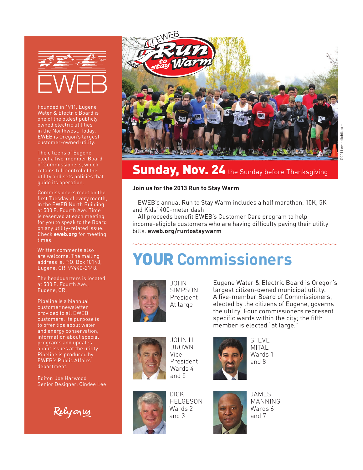

Founded in 1911, Eugene Water & Electric Board is one of the oldest publicly owned electric utilities in the Northwest. Today, EWEB is Oregon's largest customer-owned utility.

The citizens of Eugene elect a five-member Board of Commissioners, which retains full control of the utility and sets policies that guide its operation.

Commissioners meet on the first Tuesday of every month, in the EWEB North Building at 500 E. Fourth Ave. Time is reserved at each meeting for you to speak to the Board on any utility-related issue. Check **eweb.org** for meeting times.

Written comments also are welcome. The mailing address is: P.O. Box 10148, Eugene, OR, 97440-2148.

The headquarters is located at 500 E. Fourth Ave., Eugene, OR.

Pipeline is a biannual customer newsletter provided to all EWEB customers. Its purpose is to offer tips about water and energy conservation, information about special programs and updates about issues at the utility. Pipeline is produced by EWEB's Public Affairs department.

Editor: Joe Harwood Senior Designer: Cindee Lee

Relyonus.



### ©2011 evanpilchik.com ©2011 evanpilchik.com

#### Sunday, Nov. 24 the Sunday before Thanksgiving

#### **Join us for the 2013 Run to Stay Warm**

EWEB's annual Run to Stay Warm includes a half marathon, 10K, 5K and Kids' 400-meter dash.

All proceeds benefit EWEB's Customer Care program to help income-eligible customers who are having difficulty paying their utility bills. **eweb.org/runtostaywarm**

#### YOUR **Commissioners**



JOHN SIMPSON President At large

Eugene Water & Electric Board is Oregon's largest citizen-owned municipal utility. A five-member Board of Commissioners, elected by the citizens of Eugene, governs the utility. Four commissioners represent specific wards within the city; the fifth member is elected "at large."



JOHN H. BROWN Vice President Wards 4 and 5





DICK HELGESON Wards 2 and 3



JAMES MANNING Wards 6 and 7

STEVE MITAL Wards 1 and 8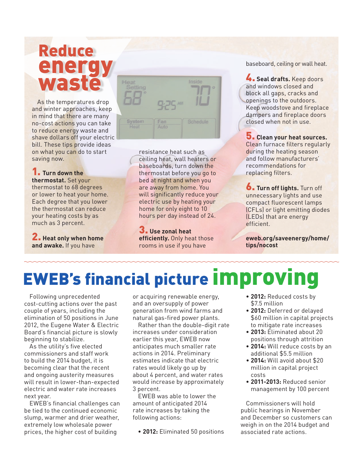#### Reduce energy waste

As the temperatures drop and winter approaches, keep in mind that there are many no-cost actions you can take to reduce energy waste and shave dollars off your electric bill. These tips provide ideas on what you can do to start saving now.

#### 1. **Turn down the thermostat.** Set your thermostat to 68 degrees or lower to heat your home. Each degree that you lower

the thermostat can reduce your heating costs by as much as 3 percent.

2. **Heat only when home and awake.** If you have



resistance heat such as ceiling heat, wall heaters or baseboards, turn down the thermostat before you go to bed at night and when you are away from home. You will significantly reduce your electric use by heating your home for only eight to 10 hours per day instead of 24.

3. **Use zonal heat efficiently.** Only heat those rooms in use if you have

baseboard, ceiling or wall heat.

4. **Seal drafts.** Keep doors and windows closed and block all gaps, cracks and openings to the outdoors. Keep woodstove and fireplace dampers and fireplace doors closed when not in use.

5. **Clean your heat sources.** Clean furnace filters regularly during the heating season and follow manufacturers' recommendations for replacing filters.

6. **Turn off lights.** Turn off unnecessary lights and use compact fluorescent lamps (CFLs) or light emitting diodes (LEDs) that are energy efficient.

**eweb.org/saveenergy/home/ tips/nocost**

## EWEB's financial picture improving

Following unprecedented cost-cutting actions over the past couple of years, including the elimination of 50 positions in June 2012, the Eugene Water & Electric Board's financial picture is slowly beginning to stabilize.

As the utility's five elected commissioners and staff work to build the 2014 budget, it is becoming clear that the recent and ongoing austerity measures will result in lower-than-expected electric and water rate increases next year.

EWEB's financial challenges can be tied to the continued economic slump, warmer and drier weather, extremely low wholesale power prices, the higher cost of building

or acquiring renewable energy, and an oversupply of power generation from wind farms and natural gas-fired power plants.

Rather than the double-digit rate increases under consideration earlier this year, EWEB now anticipates much smaller rate actions in 2014. Preliminary estimates indicate that electric rates would likely go up by about 4 percent, and water rates would increase by approximately 3 percent.

EWEB was able to lower the amount of anticipated 2014 rate increases by taking the following actions:

**• 2012:** Eliminated 50 positions

- **• 2012:** Reduced costs by \$7.5 million
- **• 2012:** Deferred or delayed \$60 million in capital projects to mitigate rate increases
- **• 2013:** Eliminated about 20 positions through attrition
- **• 2014:** Will reduce costs by an additional \$5.5 million
- • **2014:** Will avoid about \$20 million in capital project costs
- **• 2011-2013:** Reduced senior management by 100 percent

Commissioners will hold public hearings in November and December so customers can weigh in on the 2014 budget and associated rate actions.